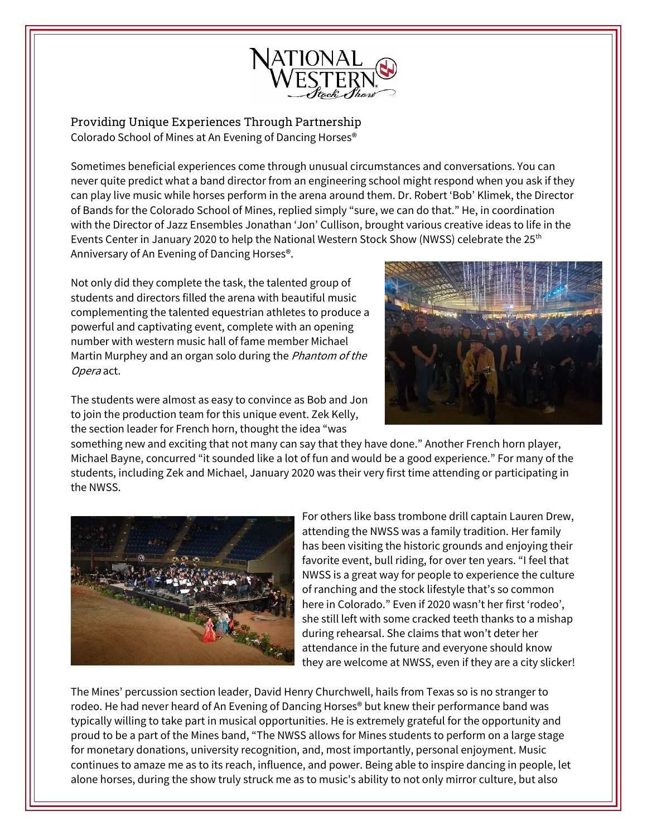

Providing Unique Experiences Through Partnership Colorado School of Mines at An Evening of Dancing Horses®

Sometimes beneficial experiences come through unusual circumstances and conversations. You can never quite predict what a band director from an engineering school might respond when you ask if they can play live music while horses perform in the arena around them. Dr. Robert 'Bob' Klimek, the Director of Bands for the Colorado School of Mines, replied simply "sure, we can do that." He, in coordination with the Director of Jazz Ensembles Jonathan 'Jon' Cullison, brought various creative ideas to life in the Events Center in January 2020 to help the National Western Stock Show (NWSS) celebrate the 25<sup>th</sup> Anniversary of An Evening of Dancing Horses®.

Not only did they complete the task, the talented group of students and directors filled the arena with beautiful music complementing the talented equestrian athletes to produce a powerful and captivating event, complete with an opening number with western music hall of fame member Michael Martin Murphey and an organ solo during the *Phantom of the* Opera act.

The students were almost as easy to convince as Bob and Jon to join the production team for this unique event. Zek Kelly, the section leader for French horn, thought the idea "was



something new and exciting that not many can say that they have done." Another French horn player, Michael Bayne, concurred "it sounded like a lot of fun and would be a good experience." For many of the students, including Zek and Michael, January 2020 was their very first time attending or participating in the NWSS.



For others like bass trombone drill captain Lauren Drew, attending the NWSS was a family tradition. Her family has been visiting the historic grounds and enjoying their favorite event, bull riding, for over ten years. "I feel that NWSS is a great way for people to experience the culture of ranching and the stock lifestyle that's so common here in Colorado." Even if 2020 wasn't her first 'rodeo', she still left with some cracked teeth thanks to a mishap during rehearsal. She claims that won't deter her attendance in the future and everyone should know they are welcome at NWSS, even if they are a city slicker!

The Mines' percussion section leader, David Henry Churchwell, hails from Texas so is no stranger to rodeo. He had never heard of An Evening of Dancing Horses® but knew their performance band was typically willing to take part in musical opportunities. He is extremely grateful for the opportunity and proud to be a part of the Mines band, "The NWSS allows for Mines students to perform on a large stage for monetary donations, university recognition, and, most importantly, personal enjoyment. Music continues to amaze me as to its reach, influence, and power. Being able to inspire dancing in people, let alone horses, during the show truly struck me as to music's ability to not only mirror culture, but also